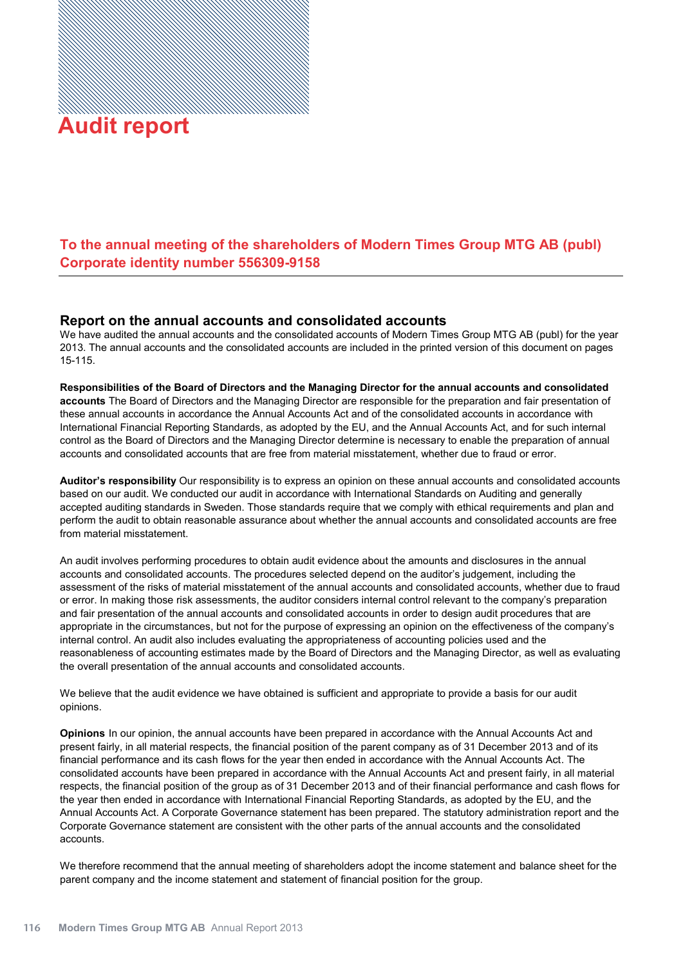## **Audit report Audit report**

## **To the annual meeting of the shareholders of Modern Times Group MTG AB (publ) Corporate identity number 556309-**

## **Report on the annual accounts and consolidated accounts**

We have audited the annual accounts and the consolidated accounts of Modern Times Group MTG AB (publ) for the year . The annual accounts and the consolidated accounts are included in the printed version of this document on pages  $15 - 115$ 

**Responsibilities of the Board of Directors and the Managing Director for the annual accounts and consolidated accounts** The Board of Directors and the Managing Director are responsible for the preparation and fair presentation of these annual accounts in accordance the Annual Accounts Act and of the consolidated accounts in accordance with International Financial Reporting Standards, as adopted by the EU, and the Annual Accounts Act, and for such internal control as the Board of Directors and the Managing Director determine is necessary to enable the preparation of annual accounts and consolidated accounts that are free from material misstatement, whether due to fraud or error.

**Auditor's responsibility** Our responsibility is to express an opinion on these annual accounts and consolidated accounts based on our audit. We conducted our audit in accordance with International Standards on Auditing and generally accepted auditing standards in Sweden. Those standards require that we comply with ethical requirements and plan and perform the audit to obtain reasonable assurance about whether the annual accounts and consolidated accounts are free from material misstatement.

An audit involves performing procedures to obtain audit evidence about the amounts and disclosures in the annual accounts and consolidated accounts. The procedures selected depend on the auditor's judgement, including the assessment of the risks of material misstatement of the annual accounts and consolidated accounts, whether due to fraud or error. In making those risk assessments, the auditor considers internal control relevant to the company's preparation and fair presentation of the annual accounts and consolidated accounts in order to design audit procedures that are appropriate in the circumstances, but not for the purpose of expressing an opinion on the effectiveness of the company's internal control. An audit also includes evaluating the appropriateness of accounting policies used and the reasonableness of accounting estimates made by the Board of Directors and the Managing Director, as well as evaluating the overall presentation of the annual accounts and consolidated accounts.

We believe that the audit evidence we have obtained is sufficient and appropriate to provide a basis for our audit opinions.

**Opinions** In our opinion, the annual accounts have been prepared in accordance with the Annual Accounts Act and present fairly, in all material respects, the financial position of the parent company as of 31 December 2013 and of its financial performance and its cash flows for the year then ended in accordance with the Annual Accounts Act. The consolidated accounts have been prepared in accordance with the Annual Accounts Act and present fairly, in all material respects, the financial position of the group as of 31 December 2013 and of their financial performance and cash flows for the year then ended in accordance with International Financial Reporting Standards, as adopted by the EU, and the Annual Accounts Act. A Corporate Governance statement has been prepared. The statutory administration report and the Corporate Governance statement are consistent with the other parts of the annual accounts and the consolidated accounts.

We therefore recommend that the annual meeting of shareholders adopt the income statement and balance sheet for the parent company and the income statement and statement of financial position for the group.